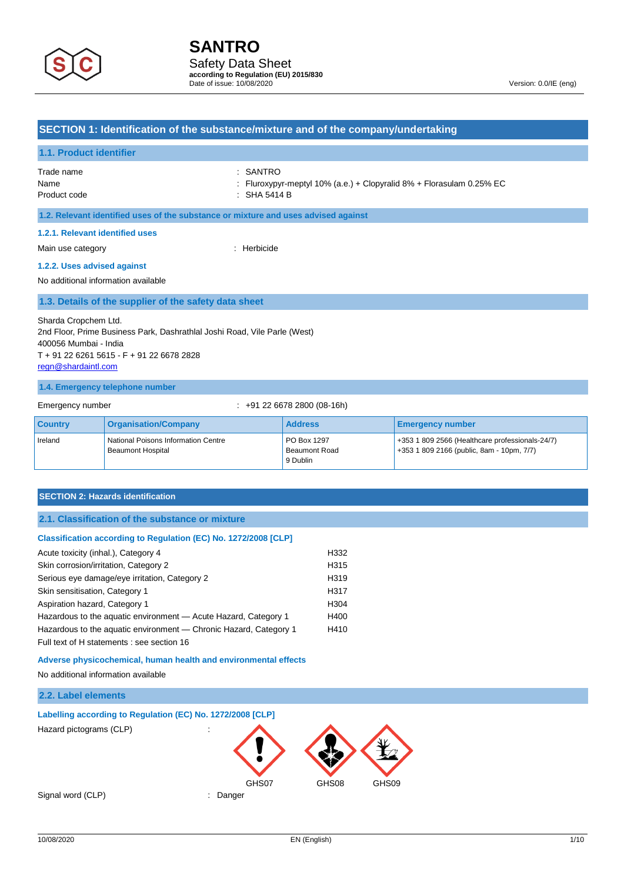

Date of issue: 10/08/2020 Version: 0.0/IE (eng)

### **SECTION 1: Identification of the substance/mixture and of the company/undertaking**

### **1.1. Product identifier**

| Trade name   | : SANTRO                                                             |
|--------------|----------------------------------------------------------------------|
| Name         | : Fluroxypyr-meptyl 10% (a.e.) + Clopyralid 8% + Florasulam 0.25% EC |
| Product code | : SHA 5414 B                                                         |

#### **1.2. Relevant identified uses of the substance or mixture and uses advised against**

#### **1.2.1. Relevant identified uses**

Main use category **in the category** of the contract of the Herbicide

#### **1.2.2. Uses advised against**

No additional information available

#### **1.3. Details of the supplier of the safety data sheet**

Sharda Cropchem Ltd. 2nd Floor, Prime Business Park, Dashrathlal Joshi Road, Vile Parle (West) 400056 Mumbai - India T + 91 22 6261 5615 - F + 91 22 6678 2828 [regn@shardaintl.com](mailto:regn@shardaintl.com)

#### **1.4. Emergency telephone number**

Emergency number : +91 22 6678 2800 (08-16h)

| <b>Country</b> | <b>Organisation/Company</b>                              | <b>Address</b>                                  | Emergency number                                                                                 |
|----------------|----------------------------------------------------------|-------------------------------------------------|--------------------------------------------------------------------------------------------------|
| Ireland        | National Poisons Information Centre<br>Beaumont Hospital | <b>PO Box 1297</b><br>Beaumont Road<br>9 Dublin | $+353$ 1 809 2566 (Healthcare professionals-24/7)<br>$+353$ 1 809 2166 (public, 8am - 10pm, 7/7) |

#### **SECTION 2: Hazards identification**

#### **Classification according to Regulation (EC) No. 1272/2008 [CLP]**

| Acute toxicity (inhal.), Category 4                               | H332             |
|-------------------------------------------------------------------|------------------|
| Skin corrosion/irritation, Category 2                             | H <sub>315</sub> |
| Serious eye damage/eye irritation, Category 2                     | H319             |
| Skin sensitisation, Category 1                                    | H317             |
| Aspiration hazard, Category 1                                     | H304             |
| Hazardous to the aquatic environment - Acute Hazard, Category 1   | H400             |
| Hazardous to the aquatic environment — Chronic Hazard, Category 1 | H410             |
| Full text of H statements : see section 16                        |                  |

**Adverse physicochemical, human health and environmental effects**

No additional information available

### **2.2. Label elements**

#### **Labelling according to Regulation (EC) No. 1272/2008 [CLP]**

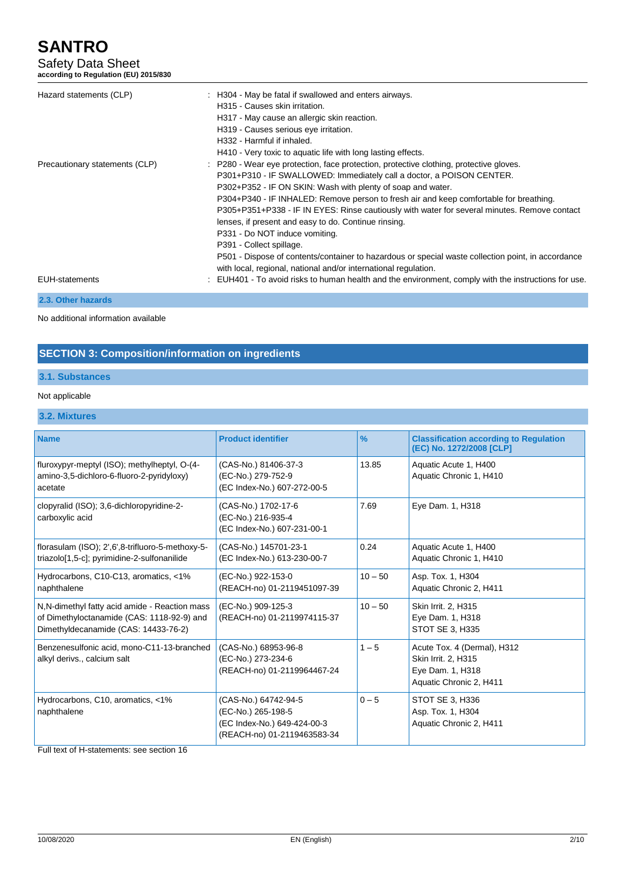Safety Data Sheet **according to Regulation (EU) 2015/830**

| Hazard statements (CLP)        | : H304 - May be fatal if swallowed and enters airways.<br>H315 - Causes skin irritation.<br>H317 - May cause an allergic skin reaction.<br>H319 - Causes serious eye irritation.<br>H332 - Harmful if inhaled.<br>H410 - Very toxic to aquatic life with long lasting effects.                                                                                                                                                                                                                                                                                                                                                                                                                                        |
|--------------------------------|-----------------------------------------------------------------------------------------------------------------------------------------------------------------------------------------------------------------------------------------------------------------------------------------------------------------------------------------------------------------------------------------------------------------------------------------------------------------------------------------------------------------------------------------------------------------------------------------------------------------------------------------------------------------------------------------------------------------------|
| Precautionary statements (CLP) | P280 - Wear eye protection, face protection, protective clothing, protective gloves.<br>P301+P310 - IF SWALLOWED: Immediately call a doctor, a POISON CENTER.<br>P302+P352 - IF ON SKIN: Wash with plenty of soap and water.<br>P304+P340 - IF INHALED: Remove person to fresh air and keep comfortable for breathing.<br>P305+P351+P338 - IF IN EYES: Rinse cautiously with water for several minutes. Remove contact<br>lenses, if present and easy to do. Continue rinsing.<br>P331 - Do NOT induce vomiting.<br>P391 - Collect spillage.<br>P501 - Dispose of contents/container to hazardous or special waste collection point, in accordance<br>with local, regional, national and/or international regulation. |
| <b>EUH-statements</b>          | : EUH401 - To avoid risks to human health and the environment, comply with the instructions for use.                                                                                                                                                                                                                                                                                                                                                                                                                                                                                                                                                                                                                  |
| 2.3. Other hazards             |                                                                                                                                                                                                                                                                                                                                                                                                                                                                                                                                                                                                                                                                                                                       |

No additional information available

# **SECTION 3: Composition/information on ingredients**

# **3.1. Substances**

### Not applicable

## **3.2. Mixtures**

| <b>Name</b>                                                                                     | <b>Product identifier</b>                            | $\frac{9}{6}$ |                                                                           |  |
|-------------------------------------------------------------------------------------------------|------------------------------------------------------|---------------|---------------------------------------------------------------------------|--|
|                                                                                                 |                                                      |               | <b>Classification according to Regulation</b><br>(EC) No. 1272/2008 [CLP] |  |
| fluroxypyr-meptyl (ISO); methylheptyl, O-(4-                                                    | (CAS-No.) 81406-37-3                                 | 13.85         | Aquatic Acute 1, H400                                                     |  |
| amino-3,5-dichloro-6-fluoro-2-pyridyloxy)                                                       | (EC-No.) 279-752-9                                   |               | Aquatic Chronic 1, H410                                                   |  |
| acetate                                                                                         | (EC Index-No.) 607-272-00-5                          |               |                                                                           |  |
| clopyralid (ISO); 3,6-dichloropyridine-2-                                                       | (CAS-No.) 1702-17-6<br>7.69                          |               | Eye Dam. 1, H318                                                          |  |
| carboxylic acid                                                                                 | (EC-No.) 216-935-4<br>(EC Index-No.) 607-231-00-1    |               |                                                                           |  |
|                                                                                                 |                                                      |               |                                                                           |  |
| florasulam (ISO); 2',6',8-trifluoro-5-methoxy-5-<br>triazolo[1,5-c]; pyrimidine-2-sulfonanilide | (CAS-No.) 145701-23-1<br>(EC Index-No.) 613-230-00-7 | 0.24          | Aquatic Acute 1, H400<br>Aquatic Chronic 1, H410                          |  |
|                                                                                                 |                                                      |               |                                                                           |  |
| Hydrocarbons, C10-C13, aromatics, <1%                                                           | (EC-No.) 922-153-0                                   | $10 - 50$     | Asp. Tox. 1, H304                                                         |  |
| naphthalene                                                                                     | (REACH-no) 01-2119451097-39                          |               | Aquatic Chronic 2, H411                                                   |  |
| N.N-dimethyl fatty acid amide - Reaction mass                                                   | (EC-No.) 909-125-3                                   | $10 - 50$     | Skin Irrit. 2, H315                                                       |  |
| of Dimethyloctanamide (CAS: 1118-92-9) and                                                      | (REACH-no) 01-2119974115-37                          |               | Eye Dam. 1, H318                                                          |  |
| Dimethyldecanamide (CAS: 14433-76-2)                                                            |                                                      |               | STOT SE 3, H335                                                           |  |
| Benzenesulfonic acid, mono-C11-13-branched                                                      | (CAS-No.) 68953-96-8                                 | $1 - 5$       | Acute Tox. 4 (Dermal), H312                                               |  |
| alkyl derivs., calcium salt                                                                     | (EC-No.) 273-234-6<br>(REACH-no) 01-2119964467-24    |               | Skin Irrit. 2, H315<br>Eye Dam. 1, H318                                   |  |
|                                                                                                 |                                                      |               | Aquatic Chronic 2, H411                                                   |  |
|                                                                                                 |                                                      |               |                                                                           |  |
| Hydrocarbons, C10, aromatics, <1%<br>naphthalene                                                | (CAS-No.) 64742-94-5<br>(EC-No.) 265-198-5           | $0 - 5$       | STOT SE 3, H336<br>Asp. Tox. 1, H304                                      |  |
|                                                                                                 | (EC Index-No.) 649-424-00-3                          |               | Aquatic Chronic 2, H411                                                   |  |
|                                                                                                 | (REACH-no) 01-2119463583-34                          |               |                                                                           |  |
|                                                                                                 |                                                      |               |                                                                           |  |

Full text of H-statements: see section 16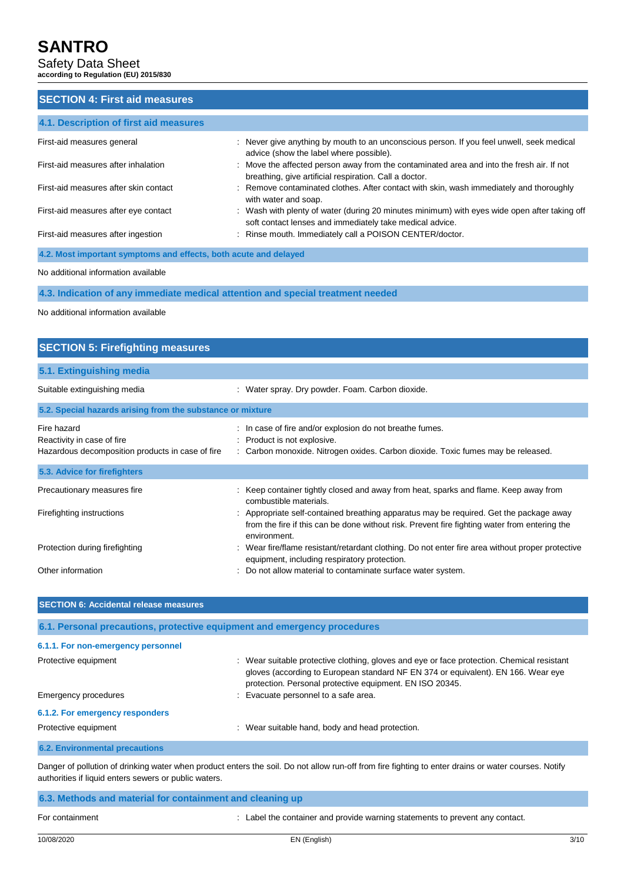Safety Data Sheet **according to Regulation (EU) 2015/830**

# **SECTION 4: First aid measures 4.1. Description of first aid measures** First-aid measures general : Never give anything by mouth to an unconscious person. If you feel unwell, seek medical advice (show the label where possible). First-aid measures after inhalation : Move the affected person away from the contaminated area and into the fresh air. If not breathing, give artificial respiration. Call a doctor. First-aid measures after skin contact : Remove contaminated clothes. After contact with skin, wash immediately and thoroughly with water and soap. First-aid measures after eye contact : Wash with plenty of water (during 20 minutes minimum) with eyes wide open after taking off soft contact lenses and immediately take medical advice. First-aid measures after ingestion : Rinse mouth. Immediately call a POISON CENTER/doctor. **4.2. Most important symptoms and effects, both acute and delayed**

No additional information available

**4.3. Indication of any immediate medical attention and special treatment needed**

No additional information available

# **SECTION 5: Firefighting measures 5.1. Extinguishing media** Suitable extinguishing media : Water spray. Dry powder. Foam. Carbon dioxide. **5.2. Special hazards arising from the substance or mixture** Fire hazard **in the state of fire and/or explosion do not breathe fumes.** In case of fire and/or explosion do not breathe fumes. Reactivity in case of fire **in the case of the set of the Case of the Case of the Case of the Case of the Case of the Case of the Case of the Case of the Case of the Case of the Case of the Case of the Case of the Case of** Hazardous decomposition products in case of fire : Carbon monoxide. Nitrogen oxides. Carbon dioxide. Toxic fumes may be released. **5.3. Advice for firefighters**

| Precautionary measures fire    | Keep container tightly closed and away from heat, sparks and flame. Keep away from<br>combustible materials.                                                                                          |
|--------------------------------|-------------------------------------------------------------------------------------------------------------------------------------------------------------------------------------------------------|
| Firefighting instructions      | Appropriate self-contained breathing apparatus may be required. Get the package away<br>from the fire if this can be done without risk. Prevent fire fighting water from entering the<br>environment. |
| Protection during firefighting | Wear fire/flame resistant/retardant clothing. Do not enter fire area without proper protective<br>equipment, including respiratory protection.                                                        |
| Other information              | Do not allow material to contaminate surface water system.                                                                                                                                            |

| <b>SECTION 6: Accidental release measures</b>                            |                                                                                                                                                                                                                                             |  |  |
|--------------------------------------------------------------------------|---------------------------------------------------------------------------------------------------------------------------------------------------------------------------------------------------------------------------------------------|--|--|
| 6.1. Personal precautions, protective equipment and emergency procedures |                                                                                                                                                                                                                                             |  |  |
| 6.1.1. For non-emergency personnel                                       |                                                                                                                                                                                                                                             |  |  |
| Protective equipment                                                     | : Wear suitable protective clothing, gloves and eye or face protection. Chemical resistant<br>gloves (according to European standard NF EN 374 or equivalent). EN 166. Wear eye<br>protection. Personal protective equipment. EN ISO 20345. |  |  |
| Emergency procedures                                                     | : Evacuate personnel to a safe area.                                                                                                                                                                                                        |  |  |
| 6.1.2. For emergency responders                                          |                                                                                                                                                                                                                                             |  |  |
| Protective equipment                                                     | : Wear suitable hand, body and head protection.                                                                                                                                                                                             |  |  |
| <b>6.2. Environmental precautions</b>                                    |                                                                                                                                                                                                                                             |  |  |

Danger of pollution of drinking water when product enters the soil. Do not allow run-off from fire fighting to enter drains or water courses. Notify authorities if liquid enters sewers or public waters.

| 6.3. Methods and material for containment and cleaning up |                                                                              |
|-----------------------------------------------------------|------------------------------------------------------------------------------|
| For containment                                           | : Label the container and provide warning statements to prevent any contact. |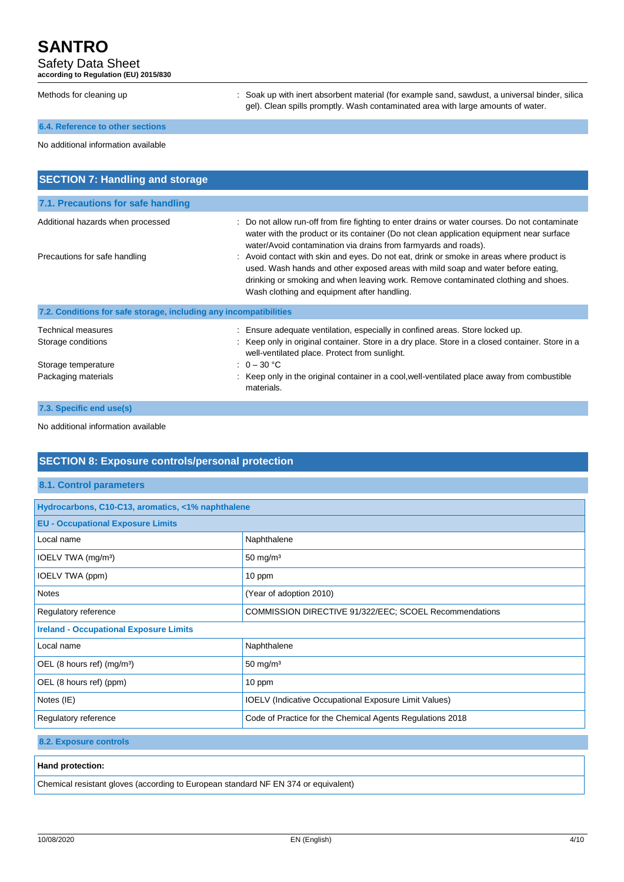Safety Data Sheet

**according to Regulation (EU) 2015/830**

| according to Regulation (EU) 2013/630                              |                                                                                                                                                                                                                                                                                                                                                                                                                                                                                                                                                                                  |  |  |
|--------------------------------------------------------------------|----------------------------------------------------------------------------------------------------------------------------------------------------------------------------------------------------------------------------------------------------------------------------------------------------------------------------------------------------------------------------------------------------------------------------------------------------------------------------------------------------------------------------------------------------------------------------------|--|--|
| Methods for cleaning up                                            | Soak up with inert absorbent material (for example sand, sawdust, a universal binder, silica<br>gel). Clean spills promptly. Wash contaminated area with large amounts of water.                                                                                                                                                                                                                                                                                                                                                                                                 |  |  |
| 6.4. Reference to other sections                                   |                                                                                                                                                                                                                                                                                                                                                                                                                                                                                                                                                                                  |  |  |
| No additional information available                                |                                                                                                                                                                                                                                                                                                                                                                                                                                                                                                                                                                                  |  |  |
| <b>SECTION 7: Handling and storage</b>                             |                                                                                                                                                                                                                                                                                                                                                                                                                                                                                                                                                                                  |  |  |
| 7.1. Precautions for safe handling                                 |                                                                                                                                                                                                                                                                                                                                                                                                                                                                                                                                                                                  |  |  |
| Additional hazards when processed<br>Precautions for safe handling | : Do not allow run-off from fire fighting to enter drains or water courses. Do not contaminate<br>water with the product or its container (Do not clean application equipment near surface<br>water/Avoid contamination via drains from farmyards and roads).<br>Avoid contact with skin and eyes. Do not eat, drink or smoke in areas where product is<br>used. Wash hands and other exposed areas with mild soap and water before eating,<br>drinking or smoking and when leaving work. Remove contaminated clothing and shoes.<br>Wash clothing and equipment after handling. |  |  |
| 7.2. Conditions for safe storage, including any incompatibilities  |                                                                                                                                                                                                                                                                                                                                                                                                                                                                                                                                                                                  |  |  |
| <b>Technical measures</b><br>Storage conditions                    | Ensure adequate ventilation, especially in confined areas. Store locked up.<br>Keep only in original container. Store in a dry place. Store in a closed container. Store in a<br>well-ventilated place. Protect from sunlight.                                                                                                                                                                                                                                                                                                                                                   |  |  |
| Storage temperature<br>Packaging materials                         | : $0 - 30 °C$<br>Keep only in the original container in a cool, well-ventilated place away from combustible<br>materials.                                                                                                                                                                                                                                                                                                                                                                                                                                                        |  |  |

**7.3. Specific end use(s)**

No additional information available

# **SECTION 8: Exposure controls/personal protection**

#### **8.1. Control parameters**

| Hydrocarbons, C10-C13, aromatics, <1% naphthalene                                 |                                                               |  |  |
|-----------------------------------------------------------------------------------|---------------------------------------------------------------|--|--|
| <b>EU - Occupational Exposure Limits</b>                                          |                                                               |  |  |
| Local name                                                                        | Naphthalene                                                   |  |  |
| IOELV TWA (mg/m <sup>3</sup> )                                                    | 50 mg/m $3$                                                   |  |  |
| IOELV TWA (ppm)                                                                   | 10 ppm                                                        |  |  |
| <b>Notes</b>                                                                      | (Year of adoption 2010)                                       |  |  |
| Regulatory reference                                                              | <b>COMMISSION DIRECTIVE 91/322/EEC: SCOEL Recommendations</b> |  |  |
| <b>Ireland - Occupational Exposure Limits</b>                                     |                                                               |  |  |
| Local name                                                                        | Naphthalene                                                   |  |  |
| OEL (8 hours ref) (mg/m <sup>3</sup> )                                            | 50 mg/m $3$                                                   |  |  |
| OEL (8 hours ref) (ppm)                                                           | 10 ppm                                                        |  |  |
| Notes (IE)                                                                        | <b>IOELV</b> (Indicative Occupational Exposure Limit Values)  |  |  |
| Code of Practice for the Chemical Agents Regulations 2018<br>Regulatory reference |                                                               |  |  |
|                                                                                   |                                                               |  |  |

**8.2. Exposure controls**

#### **Hand protection:**

Chemical resistant gloves (according to European standard NF EN 374 or equivalent)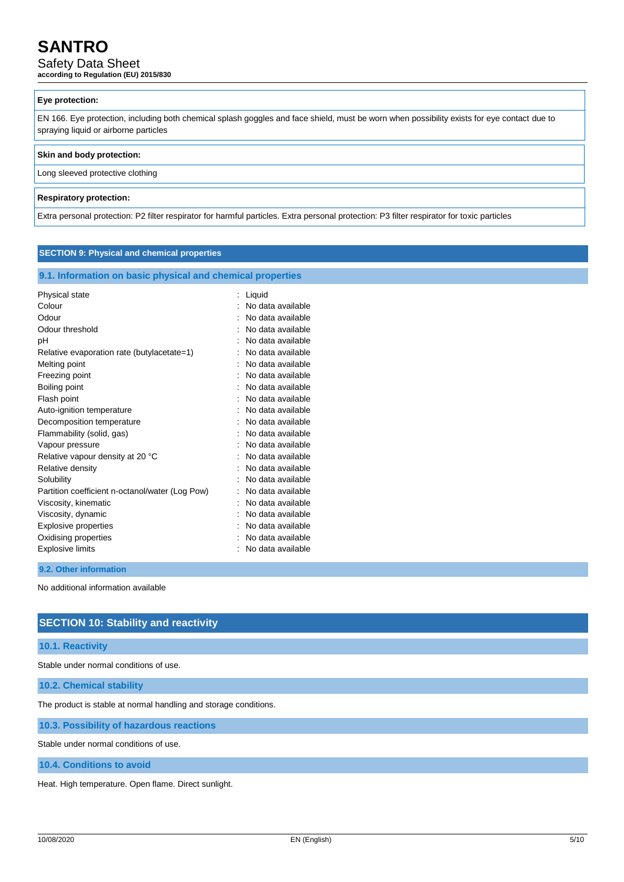### Safety Data Sheet

**according to Regulation (EU) 2015/830**

### **Eye protection:**

EN 166. Eye protection, including both chemical splash goggles and face shield, must be worn when possibility exists for eye contact due to spraying liquid or airborne particles

#### **Skin and body protection:**

Long sleeved protective clothing

#### **Respiratory protection:**

Extra personal protection: P2 filter respirator for harmful particles. Extra personal protection: P3 filter respirator for toxic particles

#### **SECTION 9: Physical and chemical properties**

#### **9.1. Information on basic physical and chemical properties**

| Physical state                                  | Liquid            |
|-------------------------------------------------|-------------------|
| Colour                                          | No data available |
| Odour                                           | No data available |
|                                                 |                   |
| Odour threshold                                 | No data available |
| рH                                              | No data available |
| Relative evaporation rate (butylacetate=1)      | No data available |
| Melting point                                   | No data available |
| Freezing point                                  | No data available |
| Boiling point                                   | No data available |
| Flash point                                     | No data available |
| Auto-ignition temperature                       | No data available |
| Decomposition temperature                       | No data available |
| Flammability (solid, gas)                       | No data available |
| Vapour pressure                                 | No data available |
| Relative vapour density at 20 °C                | No data available |
| Relative density                                | No data available |
| Solubility                                      | No data available |
| Partition coefficient n-octanol/water (Log Pow) | No data available |
| Viscosity, kinematic                            | No data available |
| Viscosity, dynamic                              | No data available |
| <b>Explosive properties</b>                     | No data available |
| Oxidising properties                            | No data available |
| <b>Explosive limits</b>                         | No data available |
|                                                 |                   |

#### **9.2. Other information**

No additional information available

### **SECTION 10: Stability and reactivity**

#### **10.1. Reactivity**

Stable under normal conditions of use.

**10.2. Chemical stability**

The product is stable at normal handling and storage conditions.

**10.3. Possibility of hazardous reactions**

Stable under normal conditions of use.

**10.4. Conditions to avoid**

Heat. High temperature. Open flame. Direct sunlight.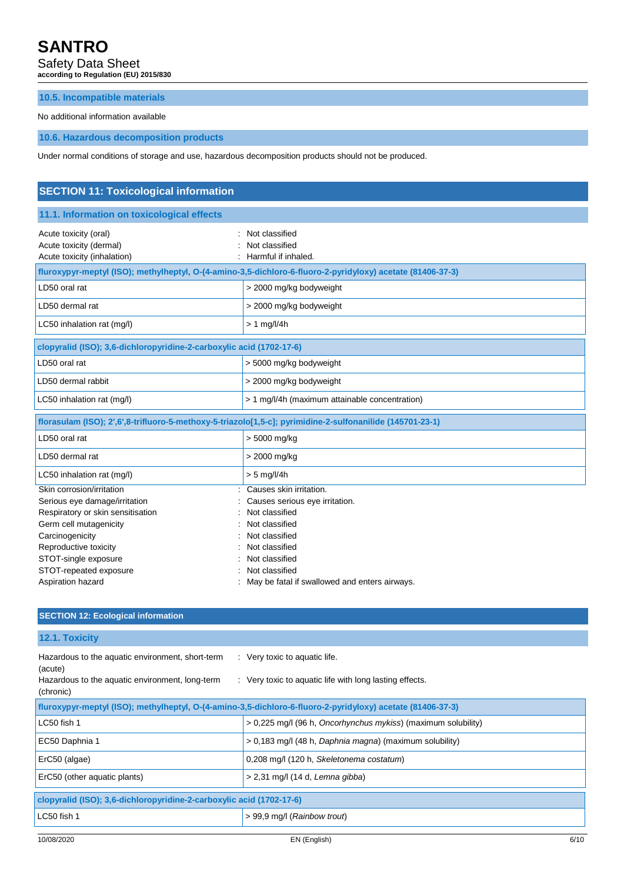Safety Data Sheet

**according to Regulation (EU) 2015/830**

### **10.5. Incompatible materials**

No additional information available

**10.6. Hazardous decomposition products**

Under normal conditions of storage and use, hazardous decomposition products should not be produced.

| <b>SECTION 11: Toxicological information</b>                                                                                                                                                  |                                                                                                                                                                       |  |  |
|-----------------------------------------------------------------------------------------------------------------------------------------------------------------------------------------------|-----------------------------------------------------------------------------------------------------------------------------------------------------------------------|--|--|
| 11.1. Information on toxicological effects                                                                                                                                                    |                                                                                                                                                                       |  |  |
| Acute toxicity (oral)<br>Acute toxicity (dermal)<br>Acute toxicity (inhalation)                                                                                                               | Not classified<br>Not classified<br>Harmful if inhaled.                                                                                                               |  |  |
| fluroxypyr-meptyl (ISO); methylheptyl, O-(4-amino-3,5-dichloro-6-fluoro-2-pyridyloxy) acetate (81406-37-3)                                                                                    |                                                                                                                                                                       |  |  |
| LD50 oral rat                                                                                                                                                                                 | > 2000 mg/kg bodyweight                                                                                                                                               |  |  |
| LD50 dermal rat                                                                                                                                                                               | > 2000 mg/kg bodyweight                                                                                                                                               |  |  |
| LC50 inhalation rat (mg/l)                                                                                                                                                                    | $> 1$ mg/l/4h                                                                                                                                                         |  |  |
| clopyralid (ISO); 3,6-dichloropyridine-2-carboxylic acid (1702-17-6)                                                                                                                          |                                                                                                                                                                       |  |  |
| LD50 oral rat                                                                                                                                                                                 | > 5000 mg/kg bodyweight                                                                                                                                               |  |  |
| LD50 dermal rabbit                                                                                                                                                                            | > 2000 mg/kg bodyweight                                                                                                                                               |  |  |
| LC50 inhalation rat (mg/l)                                                                                                                                                                    | > 1 mg/l/4h (maximum attainable concentration)                                                                                                                        |  |  |
| florasulam (ISO); 2',6',8-trifluoro-5-methoxy-5-triazolo[1,5-c]; pyrimidine-2-sulfonanilide (145701-23-1)                                                                                     |                                                                                                                                                                       |  |  |
| LD50 oral rat                                                                                                                                                                                 | > 5000 mg/kg                                                                                                                                                          |  |  |
| LD50 dermal rat                                                                                                                                                                               | > 2000 mg/kg                                                                                                                                                          |  |  |
| LC50 inhalation rat (mg/l)                                                                                                                                                                    | $> 5$ mg/l/4h                                                                                                                                                         |  |  |
| Skin corrosion/irritation<br>Serious eye damage/irritation<br>Respiratory or skin sensitisation<br>Germ cell mutagenicity<br>Carcinogenicity<br>Reproductive toxicity<br>STOT-single exposure | Causes skin irritation.<br>Causes serious eye irritation.<br>Not classified<br>Not classified<br>Not classified<br>Not classified<br>Not classified<br>Not classified |  |  |
| STOT-repeated exposure<br>Aspiration hazard                                                                                                                                                   | May be fatal if swallowed and enters airways.                                                                                                                         |  |  |

### **SECTION 12: Ecological information**

**12.1. Toxicity**

| Hazardous to the aquatic environment, short-term<br>(acute)<br>Hazardous to the aquatic environment, long-term<br>(chronic) | : Very toxic to aquatic life.<br>: Very toxic to aquatic life with long lasting effects. |  |  |
|-----------------------------------------------------------------------------------------------------------------------------|------------------------------------------------------------------------------------------|--|--|
| fluroxypyr-meptyl (ISO); methylheptyl, O-(4-amino-3,5-dichloro-6-fluoro-2-pyridyloxy) acetate (81406-37-3)                  |                                                                                          |  |  |
| LC50 fish 1                                                                                                                 | > 0,225 mg/l (96 h, <i>Oncorhynchus mykiss</i> ) (maximum solubility)                    |  |  |
| EC50 Daphnia 1                                                                                                              | > 0,183 mg/l (48 h, Daphnia magna) (maximum solubility)                                  |  |  |
| ErC50 (algae)                                                                                                               | 0,208 mg/l (120 h, Skeletonema costatum)                                                 |  |  |
| ErC50 (other aquatic plants)                                                                                                | $> 2.31$ mg/l (14 d, Lemna gibba)                                                        |  |  |
| clopyralid (ISO); 3,6-dichloropyridine-2-carboxylic acid (1702-17-6)                                                        |                                                                                          |  |  |
| LC50 fish 1                                                                                                                 | > 99,9 mg/l (Rainbow trout)                                                              |  |  |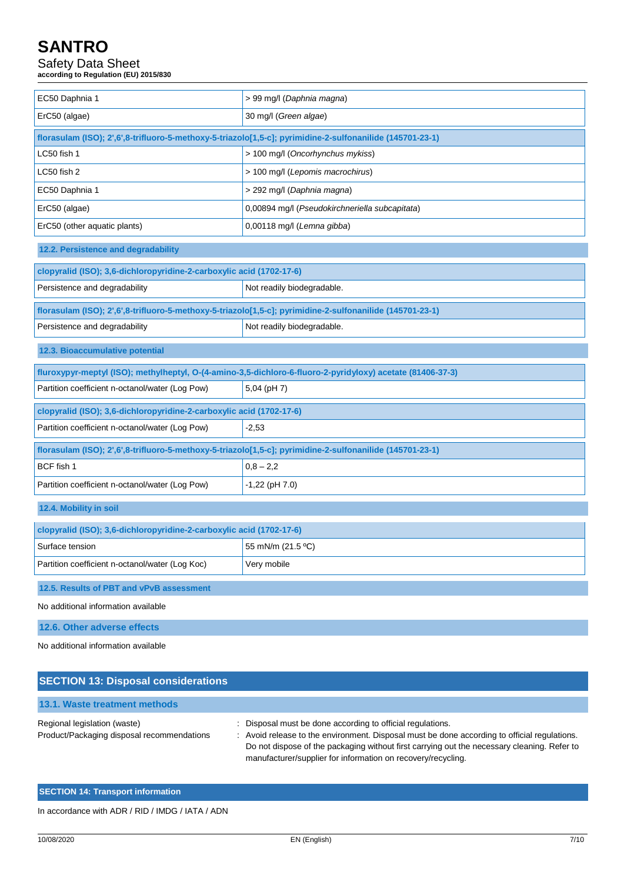# Safety Data Sheet

**according to Regulation (EU) 2015/830**

| EC50 Daphnia 1                                                                                            | > 99 mg/l (Daphnia magna)                                                                                  |  |  |
|-----------------------------------------------------------------------------------------------------------|------------------------------------------------------------------------------------------------------------|--|--|
| ErC50 (algae)                                                                                             | 30 mg/l (Green algae)                                                                                      |  |  |
| florasulam (ISO); 2',6',8-trifluoro-5-methoxy-5-triazolo[1,5-c]; pyrimidine-2-sulfonanilide (145701-23-1) |                                                                                                            |  |  |
| LC50 fish 1                                                                                               | > 100 mg/l (Oncorhynchus mykiss)                                                                           |  |  |
| LC50 fish 2                                                                                               | > 100 mg/l (Lepomis macrochirus)                                                                           |  |  |
| EC50 Daphnia 1<br>> 292 mg/l (Daphnia magna)                                                              |                                                                                                            |  |  |
| ErC50 (algae)<br>0,00894 mg/l (Pseudokirchneriella subcapitata)                                           |                                                                                                            |  |  |
| ErC50 (other aquatic plants)<br>0,00118 mg/l (Lemna gibba)                                                |                                                                                                            |  |  |
| 12.2. Persistence and degradability                                                                       |                                                                                                            |  |  |
| clopyralid (ISO); 3,6-dichloropyridine-2-carboxylic acid (1702-17-6)                                      |                                                                                                            |  |  |
| Persistence and degradability                                                                             | Not readily biodegradable.                                                                                 |  |  |
| florasulam (ISO); 2',6',8-trifluoro-5-methoxy-5-triazolo[1,5-c]; pyrimidine-2-sulfonanilide (145701-23-1) |                                                                                                            |  |  |
| Persistence and degradability                                                                             | Not readily biodegradable.                                                                                 |  |  |
| 12.3. Bioaccumulative potential                                                                           |                                                                                                            |  |  |
|                                                                                                           |                                                                                                            |  |  |
|                                                                                                           | fluroxypyr-meptyl (ISO); methylheptyl, O-(4-amino-3,5-dichloro-6-fluoro-2-pyridyloxy) acetate (81406-37-3) |  |  |
| Partition coefficient n-octanol/water (Log Pow)                                                           | $5,04$ (pH 7)                                                                                              |  |  |
| clopyralid (ISO); 3,6-dichloropyridine-2-carboxylic acid (1702-17-6)                                      |                                                                                                            |  |  |
| Partition coefficient n-octanol/water (Log Pow)                                                           | $-2,53$                                                                                                    |  |  |
| florasulam (ISO); 2',6',8-trifluoro-5-methoxy-5-triazolo[1,5-c]; pyrimidine-2-sulfonanilide (145701-23-1) |                                                                                                            |  |  |
| BCF fish 1                                                                                                | $0,8 - 2,2$                                                                                                |  |  |
| Partition coefficient n-octanol/water (Log Pow)                                                           | $-1,22$ (pH $7.0$ )                                                                                        |  |  |
| 12.4. Mobility in soil                                                                                    |                                                                                                            |  |  |
| clopyralid (ISO); 3,6-dichloropyridine-2-carboxylic acid (1702-17-6)                                      |                                                                                                            |  |  |
| Surface tension                                                                                           | 55 mN/m (21.5 °C)                                                                                          |  |  |
| Partition coefficient n-octanol/water (Log Koc)                                                           | Very mobile                                                                                                |  |  |
| 12.5. Results of PBT and vPvB assessment                                                                  |                                                                                                            |  |  |
| No additional information available                                                                       |                                                                                                            |  |  |

No additional information available

| <b>SECTION 13: Disposal considerations</b>                                 |                                                                                                                                                                                                                                                                                                                           |  |  |  |
|----------------------------------------------------------------------------|---------------------------------------------------------------------------------------------------------------------------------------------------------------------------------------------------------------------------------------------------------------------------------------------------------------------------|--|--|--|
| 13.1. Waste treatment methods                                              |                                                                                                                                                                                                                                                                                                                           |  |  |  |
| Regional legislation (waste)<br>Product/Packaging disposal recommendations | : Disposal must be done according to official regulations.<br>: Avoid release to the environment. Disposal must be done according to official regulations.<br>Do not dispose of the packaging without first carrying out the necessary cleaning. Refer to<br>manufacturer/supplier for information on recovery/recycling. |  |  |  |

### **SECTION 14: Transport information**

In accordance with ADR / RID / IMDG / IATA / ADN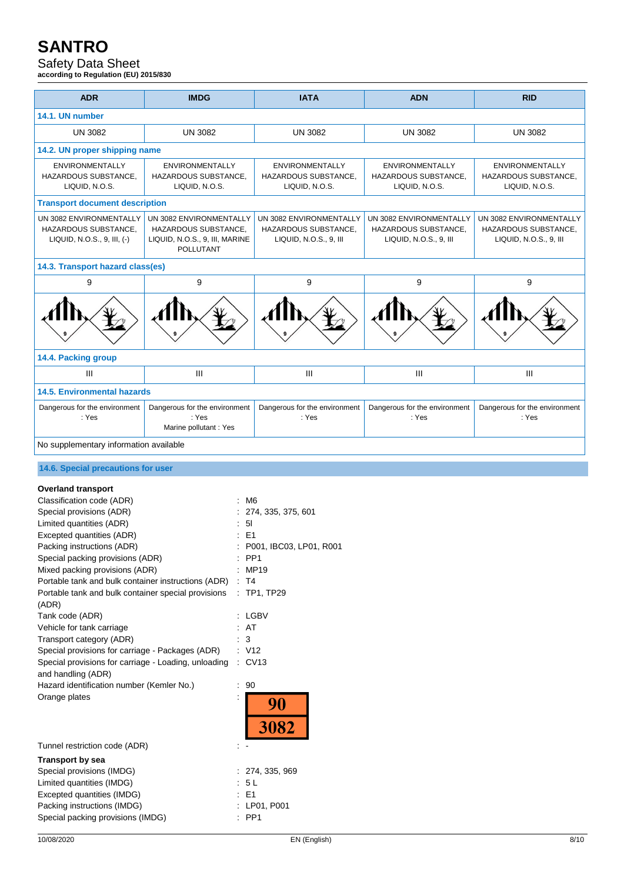# Safety Data Sheet

**according to Regulation (EU) 2015/830**

| <b>ADR</b>                                                                                                                                                                                                                                                                                                                                                                                                                                                                                                                                                                                                                                         | <b>IMDG</b>                                                                                           | <b>IATA</b>                                                                                                                                                                                                        | <b>ADN</b>                                                                | <b>RID</b>                                                                |  |
|----------------------------------------------------------------------------------------------------------------------------------------------------------------------------------------------------------------------------------------------------------------------------------------------------------------------------------------------------------------------------------------------------------------------------------------------------------------------------------------------------------------------------------------------------------------------------------------------------------------------------------------------------|-------------------------------------------------------------------------------------------------------|--------------------------------------------------------------------------------------------------------------------------------------------------------------------------------------------------------------------|---------------------------------------------------------------------------|---------------------------------------------------------------------------|--|
| 14.1. UN number                                                                                                                                                                                                                                                                                                                                                                                                                                                                                                                                                                                                                                    |                                                                                                       |                                                                                                                                                                                                                    |                                                                           |                                                                           |  |
| <b>UN 3082</b><br><b>UN 3082</b>                                                                                                                                                                                                                                                                                                                                                                                                                                                                                                                                                                                                                   |                                                                                                       | <b>UN 3082</b>                                                                                                                                                                                                     | <b>UN 3082</b>                                                            | <b>UN 3082</b>                                                            |  |
| 14.2. UN proper shipping name                                                                                                                                                                                                                                                                                                                                                                                                                                                                                                                                                                                                                      |                                                                                                       |                                                                                                                                                                                                                    |                                                                           |                                                                           |  |
| <b>ENVIRONMENTALLY</b><br>HAZARDOUS SUBSTANCE,<br>LIQUID, N.O.S.                                                                                                                                                                                                                                                                                                                                                                                                                                                                                                                                                                                   | <b>ENVIRONMENTALLY</b><br>HAZARDOUS SUBSTANCE,<br>LIQUID, N.O.S.                                      | <b>ENVIRONMENTALLY</b><br>HAZARDOUS SUBSTANCE,<br>LIQUID, N.O.S.                                                                                                                                                   | <b>ENVIRONMENTALLY</b><br>HAZARDOUS SUBSTANCE,<br>LIQUID, N.O.S.          | <b>ENVIRONMENTALLY</b><br>HAZARDOUS SUBSTANCE,<br>LIQUID, N.O.S.          |  |
| <b>Transport document description</b>                                                                                                                                                                                                                                                                                                                                                                                                                                                                                                                                                                                                              |                                                                                                       |                                                                                                                                                                                                                    |                                                                           |                                                                           |  |
| UN 3082 ENVIRONMENTALLY<br>HAZARDOUS SUBSTANCE,<br>LIQUID, N.O.S., 9, III, (-)                                                                                                                                                                                                                                                                                                                                                                                                                                                                                                                                                                     | UN 3082 ENVIRONMENTALLY<br>HAZARDOUS SUBSTANCE,<br>LIQUID, N.O.S., 9, III, MARINE<br><b>POLLUTANT</b> | UN 3082 ENVIRONMENTALLY<br>HAZARDOUS SUBSTANCE.<br>LIQUID, N.O.S., 9, III                                                                                                                                          | UN 3082 ENVIRONMENTALLY<br>HAZARDOUS SUBSTANCE,<br>LIQUID, N.O.S., 9, III | UN 3082 ENVIRONMENTALLY<br>HAZARDOUS SUBSTANCE,<br>LIQUID, N.O.S., 9, III |  |
| 14.3. Transport hazard class(es)                                                                                                                                                                                                                                                                                                                                                                                                                                                                                                                                                                                                                   |                                                                                                       |                                                                                                                                                                                                                    |                                                                           |                                                                           |  |
| 9                                                                                                                                                                                                                                                                                                                                                                                                                                                                                                                                                                                                                                                  | 9                                                                                                     | 9                                                                                                                                                                                                                  | 9                                                                         | 9                                                                         |  |
|                                                                                                                                                                                                                                                                                                                                                                                                                                                                                                                                                                                                                                                    |                                                                                                       |                                                                                                                                                                                                                    |                                                                           |                                                                           |  |
| 14.4. Packing group                                                                                                                                                                                                                                                                                                                                                                                                                                                                                                                                                                                                                                |                                                                                                       |                                                                                                                                                                                                                    |                                                                           |                                                                           |  |
| Ш                                                                                                                                                                                                                                                                                                                                                                                                                                                                                                                                                                                                                                                  | Ш                                                                                                     | Ш                                                                                                                                                                                                                  | Ш                                                                         | Ш                                                                         |  |
| <b>14.5. Environmental hazards</b>                                                                                                                                                                                                                                                                                                                                                                                                                                                                                                                                                                                                                 |                                                                                                       |                                                                                                                                                                                                                    |                                                                           |                                                                           |  |
| Dangerous for the environment<br>: Yes                                                                                                                                                                                                                                                                                                                                                                                                                                                                                                                                                                                                             | Dangerous for the environment<br>: Yes<br>Marine pollutant : Yes                                      | Dangerous for the environment<br>: Yes                                                                                                                                                                             | Dangerous for the environment<br>: Yes                                    | Dangerous for the environment<br>: Yes                                    |  |
| No supplementary information available                                                                                                                                                                                                                                                                                                                                                                                                                                                                                                                                                                                                             |                                                                                                       |                                                                                                                                                                                                                    |                                                                           |                                                                           |  |
|                                                                                                                                                                                                                                                                                                                                                                                                                                                                                                                                                                                                                                                    |                                                                                                       |                                                                                                                                                                                                                    |                                                                           |                                                                           |  |
| 14.6. Special precautions for user                                                                                                                                                                                                                                                                                                                                                                                                                                                                                                                                                                                                                 |                                                                                                       |                                                                                                                                                                                                                    |                                                                           |                                                                           |  |
| <b>Overland transport</b><br>Classification code (ADR)<br>Special provisions (ADR)<br>Limited quantities (ADR)<br>Excepted quantities (ADR)<br>Packing instructions (ADR)<br>Special packing provisions (ADR)<br>Mixed packing provisions (ADR)<br>Portable tank and bulk container instructions (ADR)<br>Portable tank and bulk container special provisions<br>(ADR)<br>Tank code (ADR)<br>Vehicle for tank carriage<br>Transport category (ADR)<br>Special provisions for carriage - Packages (ADR)<br>Special provisions for carriage - Loading, unloading<br>and handling (ADR)<br>Hazard identification number (Kemler No.)<br>Orange plates |                                                                                                       | M6<br>274, 335, 375, 601<br>5 <sub>l</sub><br>$E = 51$<br>P001, IBC03, LP01, R001<br>: PP1<br>MP19<br>$\mathsf{T}4$<br>: TP1, TP29<br>: LGBV<br>: AT<br>3<br>: V12<br>$\therefore$ CV13<br>90<br>90<br><b>3082</b> |                                                                           |                                                                           |  |
| Tunnel restriction code (ADR)<br><b>Transport by sea</b><br>Special provisions (IMDG)<br>Limited quantities (IMDG)<br>Excepted quantities (IMDG)<br>Packing instructions (IMDG)<br>Special packing provisions (IMDG)                                                                                                                                                                                                                                                                                                                                                                                                                               | $\sim$ $\sim$                                                                                         | : 274, 335, 969<br>5 L<br>E <sub>1</sub><br>: LP01, P001<br>PP1                                                                                                                                                    |                                                                           |                                                                           |  |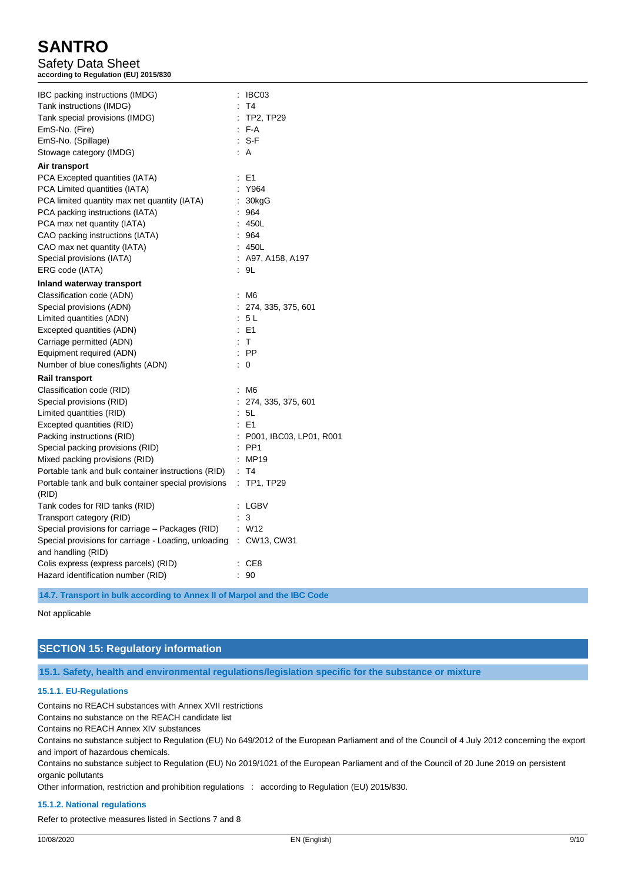Safety Data Sheet **according to Regulation (EU) 2015/830**

| IBC packing instructions (IMDG)                                   | : IBC03                   |
|-------------------------------------------------------------------|---------------------------|
| Tank instructions (IMDG)                                          | T4                        |
| Tank special provisions (IMDG)                                    | $:$ TP2, TP29             |
| EmS-No. (Fire)                                                    | $F-A$                     |
| EmS-No. (Spillage)                                                | $: S-F$                   |
| Stowage category (IMDG)                                           | : A                       |
| Air transport                                                     |                           |
| PCA Excepted quantities (IATA)                                    | : E1                      |
| PCA Limited quantities (IATA)                                     | Y964                      |
| PCA limited quantity max net quantity (IATA)                      | : 30kgG                   |
| PCA packing instructions (IATA)                                   | : 964                     |
| PCA max net quantity (IATA)                                       | : 450L                    |
| CAO packing instructions (IATA)                                   | : 964                     |
| CAO max net quantity (IATA)                                       | : 450L                    |
| Special provisions (IATA)                                         | : A97, A158, A197         |
| ERG code (IATA)                                                   | : 9L                      |
| Inland waterway transport                                         |                           |
| Classification code (ADN)                                         | : M6                      |
| Special provisions (ADN)                                          | : 274, 335, 375, 601      |
| Limited quantities (ADN)                                          | : 5 L                     |
| Excepted quantities (ADN)                                         | $E = 1$                   |
| Carriage permitted (ADN)                                          | : T                       |
| Equipment required (ADN)                                          | $:$ PP                    |
| Number of blue cones/lights (ADN)                                 | $\colon 0$                |
| <b>Rail transport</b>                                             |                           |
| Classification code (RID)                                         | : M6                      |
| Special provisions (RID)                                          | : 274, 335, 375, 601      |
| Limited quantities (RID)                                          | : 5L                      |
| Excepted quantities (RID)                                         | $E = 1$                   |
| Packing instructions (RID)                                        | : P001, IBC03, LP01, R001 |
| Special packing provisions (RID)                                  | $:$ PP1                   |
| Mixed packing provisions (RID)                                    | : MP19                    |
| Portable tank and bulk container instructions (RID) : T4          |                           |
| Portable tank and bulk container special provisions               | $:$ TP1, TP29             |
| (RID)                                                             |                           |
| Tank codes for RID tanks (RID)                                    | : LGBV                    |
| Transport category (RID)                                          | : 3                       |
| Special provisions for carriage - Packages (RID)                  | : W12                     |
| Special provisions for carriage - Loading, unloading : CW13, CW31 |                           |
| and handling (RID)                                                |                           |
| Colis express (express parcels) (RID)                             | : CE8                     |
| Hazard identification number (RID)                                | 90                        |

**14.7. Transport in bulk according to Annex II of Marpol and the IBC Code**

Not applicable

# **SECTION 15: Regulatory information**

**15.1. Safety, health and environmental regulations/legislation specific for the substance or mixture**

#### **15.1.1. EU-Regulations**

Contains no REACH substances with Annex XVII restrictions

Contains no substance on the REACH candidate list

Contains no REACH Annex XIV substances

Contains no substance subject to Regulation (EU) No 649/2012 of the European Parliament and of the Council of 4 July 2012 concerning the export and import of hazardous chemicals.

Contains no substance subject to Regulation (EU) No 2019/1021 of the European Parliament and of the Council of 20 June 2019 on persistent organic pollutants

Other information, restriction and prohibition regulations : according to Regulation (EU) 2015/830.

#### **15.1.2. National regulations**

Refer to protective measures listed in Sections 7 and 8